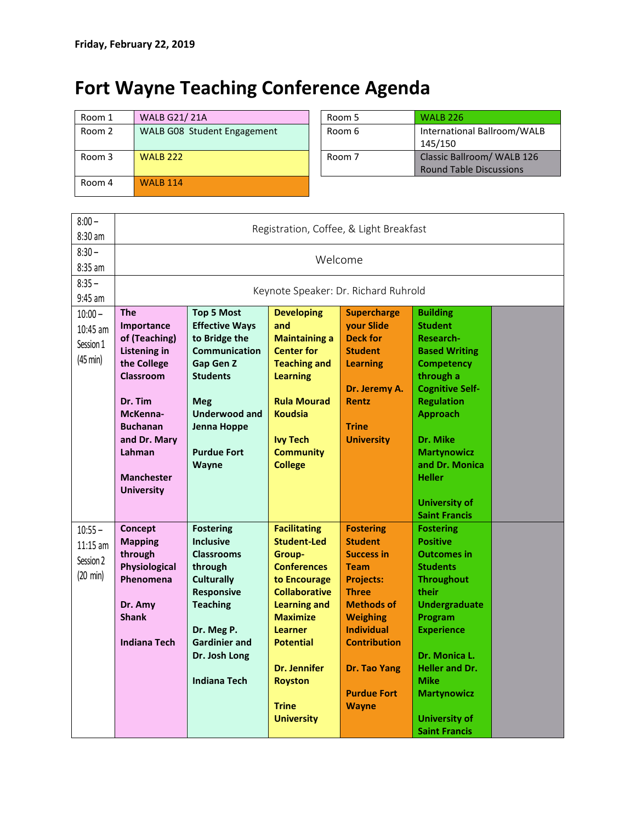## **Fort Wayne Teaching Conference Agenda**

| Room 1 | <b>WALB G21/21A</b>         | Room 5 | <b>WALB 226</b>                                              |
|--------|-----------------------------|--------|--------------------------------------------------------------|
| Room 2 | WALB G08 Student Engagement | Room 6 | International Ballroom/WAL<br>145/150                        |
| Room 3 | <b>WALB 222</b>             | Room 7 | Classic Ballroom/ WALB 126<br><b>Round Table Discussions</b> |
| Room 4 | <b>WALB 114</b>             |        |                                                              |

| Room 1 | <b>WALB G21/21A</b>         | Room 5 | <b>WALB 226</b>                                              |
|--------|-----------------------------|--------|--------------------------------------------------------------|
| Room 2 | WALB G08 Student Engagement | Room 6 | International Ballroom/WALB<br>145/150                       |
| Room 3 | <b>WALB 222</b>             | Room 7 | Classic Ballroom/ WALB 126<br><b>Round Table Discussions</b> |
|        |                             |        |                                                              |

| $8:00 -$           | Registration, Coffee, & Light Breakfast |                                        |                                      |                                      |                                          |  |
|--------------------|-----------------------------------------|----------------------------------------|--------------------------------------|--------------------------------------|------------------------------------------|--|
| 8:30 am            |                                         |                                        |                                      |                                      |                                          |  |
| $8:30 -$           |                                         | Welcome                                |                                      |                                      |                                          |  |
| 8:35 am            |                                         |                                        |                                      |                                      |                                          |  |
| $8:35 -$           |                                         |                                        | Keynote Speaker: Dr. Richard Ruhrold |                                      |                                          |  |
| $9:45$ am          |                                         |                                        |                                      |                                      |                                          |  |
| $10:00 -$          | <b>The</b>                              | <b>Top 5 Most</b>                      | <b>Developing</b>                    | <b>Supercharge</b>                   | <b>Building</b>                          |  |
| 10:45 am           | Importance<br>of (Teaching)             | <b>Effective Ways</b><br>to Bridge the | and<br><b>Maintaining a</b>          | <b>your Slide</b><br><b>Deck for</b> | <b>Student</b><br>Research-              |  |
| Session 1          | <b>Listening in</b>                     | <b>Communication</b>                   | <b>Center for</b>                    | <b>Student</b>                       | <b>Based Writing</b>                     |  |
| $(45 \text{ min})$ | the College                             | <b>Gap Gen Z</b>                       | <b>Teaching and</b>                  | <b>Learning</b>                      | <b>Competency</b>                        |  |
|                    | <b>Classroom</b>                        | <b>Students</b>                        | <b>Learning</b>                      |                                      | through a                                |  |
|                    |                                         |                                        |                                      | Dr. Jeremy A.                        | <b>Cognitive Self-</b>                   |  |
|                    | Dr. Tim                                 | <b>Meg</b>                             | <b>Rula Mourad</b>                   | Rentz                                | <b>Regulation</b>                        |  |
|                    | McKenna-<br><b>Buchanan</b>             | <b>Underwood and</b><br>Jenna Hoppe    | <b>Koudsia</b>                       | <b>Trine</b>                         | <b>Approach</b>                          |  |
|                    | and Dr. Mary                            |                                        | <b>Ivy Tech</b>                      | <b>University</b>                    | Dr. Mike                                 |  |
|                    | Lahman                                  | <b>Purdue Fort</b>                     | <b>Community</b>                     |                                      | <b>Martynowicz</b>                       |  |
|                    |                                         | Wayne                                  | <b>College</b>                       |                                      | and Dr. Monica                           |  |
|                    | <b>Manchester</b>                       |                                        |                                      |                                      | <b>Heller</b>                            |  |
|                    | <b>University</b>                       |                                        |                                      |                                      |                                          |  |
|                    |                                         |                                        |                                      |                                      | <b>University of</b>                     |  |
| $10:55 -$          | Concept                                 | <b>Fostering</b>                       | <b>Facilitating</b>                  | <b>Fostering</b>                     | <b>Saint Francis</b><br><b>Fostering</b> |  |
| $11:15$ am         | <b>Mapping</b>                          | <b>Inclusive</b>                       | <b>Student-Led</b>                   | <b>Student</b>                       | <b>Positive</b>                          |  |
|                    | through                                 | <b>Classrooms</b>                      | Group-                               | <b>Success in</b>                    | <b>Outcomes in</b>                       |  |
| Session 2          | Physiological                           | through                                | <b>Conferences</b>                   | <b>Team</b>                          | <b>Students</b>                          |  |
| $(20 \text{ min})$ | Phenomena                               | <b>Culturally</b>                      | to Encourage                         | <b>Projects:</b>                     | <b>Throughout</b>                        |  |
|                    |                                         | <b>Responsive</b>                      | <b>Collaborative</b>                 | <b>Three</b>                         | their                                    |  |
|                    | Dr. Amy<br><b>Shank</b>                 | <b>Teaching</b>                        | Learning and<br><b>Maximize</b>      | <b>Methods of</b><br><b>Weighing</b> | <b>Undergraduate</b><br>Program          |  |
|                    |                                         | Dr. Meg P.                             | <b>Learner</b>                       | <b>Individual</b>                    | <b>Experience</b>                        |  |
|                    | <b>Indiana Tech</b>                     | <b>Gardinier and</b>                   | <b>Potential</b>                     | <b>Contribution</b>                  |                                          |  |
|                    |                                         | Dr. Josh Long                          |                                      |                                      | Dr. Monica L.                            |  |
|                    |                                         |                                        | <b>Dr. Jennifer</b>                  | Dr. Tao Yang                         | <b>Heller and Dr.</b>                    |  |
|                    |                                         | <b>Indiana Tech</b>                    | <b>Royston</b>                       |                                      | <b>Mike</b>                              |  |
|                    |                                         |                                        | <b>Trine</b>                         | <b>Purdue Fort</b><br><b>Wayne</b>   | <b>Martynowicz</b>                       |  |
|                    |                                         |                                        | <b>University</b>                    |                                      | <b>University of</b>                     |  |
|                    |                                         |                                        |                                      |                                      | <b>Saint Francis</b>                     |  |